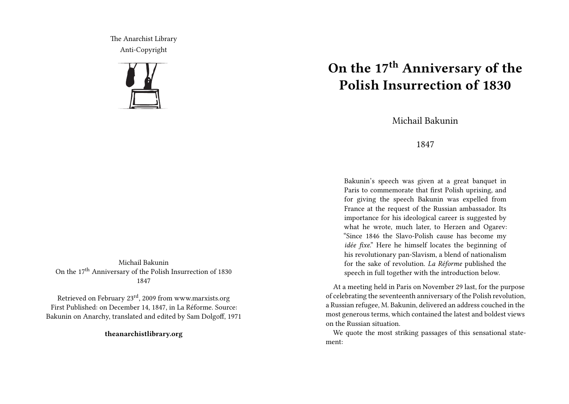The Anarchist Library Anti-Copyright



Michail Bakunin On the  $17<sup>th</sup>$  Anniversary of the Polish Insurrection of 1830 1847

Retrieved on February 23rd, 2009 from www.marxists.org First Published: on December 14, 1847, in La Réforme. Source: Bakunin on Anarchy, translated and edited by Sam Dolgoff, 1971

**theanarchistlibrary.org**

## **On the 17th Anniversary of the Polish Insurrection of 1830**

Michail Bakunin

## 1847

Bakunin's speech was given at a great banquet in Paris to commemorate that first Polish uprising, and for giving the speech Bakunin was expelled from France at the request of the Russian ambassador. Its importance for his ideological career is suggested by what he wrote, much later, to Herzen and Ogarev: "Since 1846 the Slavo-Polish cause has become my *idée fixe*." Here he himself locates the beginning of his revolutionary pan-Slavism, a blend of nationalism for the sake of revolution. *La Réforme* published the speech in full together with the introduction below.

At a meeting held in Paris on November 29 last, for the purpose of celebrating the seventeenth anniversary of the Polish revolution, a Russian refugee, M. Bakunin, delivered an address couched in the most generous terms, which contained the latest and boldest views on the Russian situation.

We quote the most striking passages of this sensational statement: